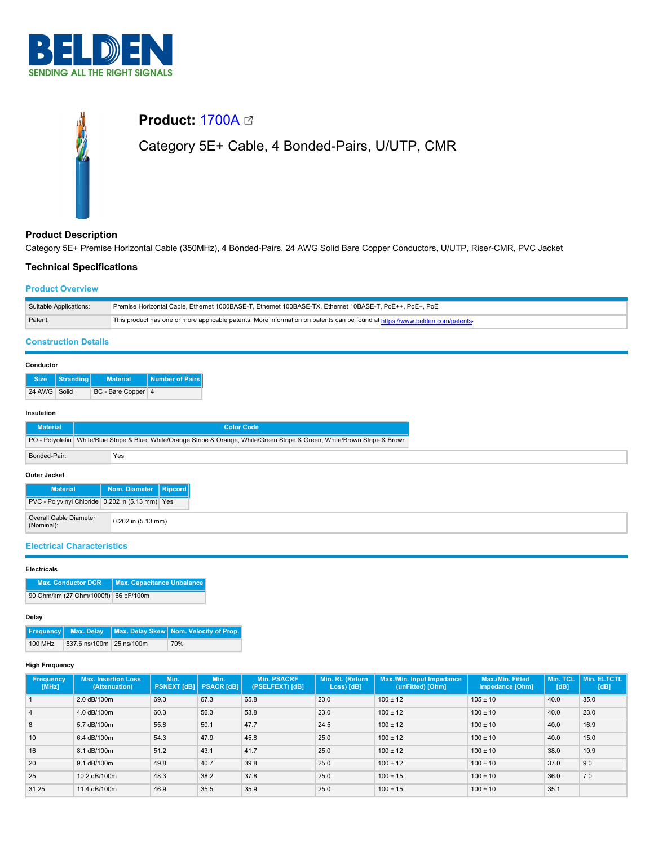

# **Product: [1700A](https://catalog.belden.com/index.cfm?event=pd&p=PF_1700A&tab=downloads)** 2 Category 5E+ Cable, 4 Bonded-Pairs, U/UTP, CMR

# **Product Description**

Category 5E+ Premise Horizontal Cable (350MHz), 4 Bonded-Pairs, 24 AWG Solid Bare Copper Conductors, U/UTP, Riser-CMR, PVC Jacket

# **Technical Specifications**

## **Product Overview**

| Suitable Applications: | Premise Horizontal Cable. Ethernet 1000BASE-T. Ethernet 100BASE-TX. Ethernet 10BASE-T. PoE++. PoE+. PoE                      |
|------------------------|------------------------------------------------------------------------------------------------------------------------------|
| Patent:                | This product has one or more applicable patents. More information on patents can be found at https://www.belden.com/patents- |

# **Construction Details**

#### **Conductor**

|              | Size   Stranding | Material <sup>1</sup> | Number of Pairs |
|--------------|------------------|-----------------------|-----------------|
| 24 AWG Solid |                  | BC - Bare Copper 4    |                 |

#### **Insulation**

| <b>Material</b>     |                                                                                                                                  | <b>Color Code</b>                               |  |  |  |  |  |
|---------------------|----------------------------------------------------------------------------------------------------------------------------------|-------------------------------------------------|--|--|--|--|--|
|                     | PO - Polyolefin   White/Blue Stripe & Blue, White/Orange Stripe & Orange, White/Green Stripe & Green, White/Brown Stripe & Brown |                                                 |  |  |  |  |  |
| Bonded-Pair:        | Yes                                                                                                                              |                                                 |  |  |  |  |  |
| <b>Outer Jacket</b> |                                                                                                                                  |                                                 |  |  |  |  |  |
| <b>Material</b>     |                                                                                                                                  | Nom. Diameter   Ripcord                         |  |  |  |  |  |
|                     |                                                                                                                                  | PVC - Polyvinyl Chloride 0.202 in (5.13 mm) Yes |  |  |  |  |  |

| <b>Electrical Characteristics</b> |  |  |  |
|-----------------------------------|--|--|--|
|                                   |  |  |  |

Overall Cable Diameter (Nominal): 0.202 in (5.13 mm)

#### **Electricals**

| <b>Max. Conductor DCR</b>            | Max. Capacitance Unbalance |
|--------------------------------------|----------------------------|
| 90 Ohm/km (27 Ohm/1000ft) 66 pF/100m |                            |

#### **Delay**

|         |                          | <b>Frequency</b> Max. Delay Max. Delay Skew Nom. Velocity of Prop. |
|---------|--------------------------|--------------------------------------------------------------------|
| 100 MHz | 537.6 ns/100m 25 ns/100m | 70%                                                                |

#### **High Frequency**

| <b>Frequency</b><br>[MHz] | <b>Max. Insertion Loss</b><br>(Attenuation) | Min.<br><b>PSNEXT [dB]   PSACR [dB]</b> | Min. | <b>Min. PSACRF</b><br>(PSELFEXT) [dB] | Min. RL (Return<br>Loss) [dB] | Max./Min. Input Impedance<br>(unFitted) [Ohm] | <b>Max./Min. Fitted</b><br>Impedance [Ohm] | Min. TCL<br>[dB] | Min. ELTCTL<br>[dB] |
|---------------------------|---------------------------------------------|-----------------------------------------|------|---------------------------------------|-------------------------------|-----------------------------------------------|--------------------------------------------|------------------|---------------------|
|                           | 2.0 dB/100m                                 | 69.3                                    | 67.3 | 65.8                                  | 20.0                          | $100 \pm 12$                                  | $105 \pm 10$                               | 40.0             | 35.0                |
| $\overline{4}$            | 4.0 dB/100m                                 | 60.3                                    | 56.3 | 53.8                                  | 23.0                          | $100 \pm 12$                                  | $100 \pm 10$                               | 40.0             | 23.0                |
| 8                         | 5.7 dB/100m                                 | 55.8                                    | 50.1 | 47.7                                  | 24.5                          | $100 \pm 12$                                  | $100 \pm 10$                               | 40.0             | 16.9                |
| 10                        | 6.4 dB/100m                                 | 54.3                                    | 47.9 | 45.8                                  | 25.0                          | $100 \pm 12$                                  | $100 \pm 10$                               | 40.0             | 15.0                |
| 16                        | 8.1 dB/100m                                 | 51.2                                    | 43.1 | 41.7                                  | 25.0                          | $100 \pm 12$                                  | $100 \pm 10$                               | 38.0             | 10.9                |
| 20                        | 9.1 dB/100m                                 | 49.8                                    | 40.7 | 39.8                                  | 25.0                          | $100 \pm 12$                                  | $100 \pm 10$                               | 37.0             | 9.0                 |
| 25                        | 10.2 dB/100m                                | 48.3                                    | 38.2 | 37.8                                  | 25.0                          | $100 \pm 15$                                  | $100 \pm 10$                               | 36.0             | 7.0                 |
| 31.25                     | 11.4 dB/100m                                | 46.9                                    | 35.5 | 35.9                                  | 25.0                          | $100 \pm 15$                                  | $100 \pm 10$                               | 35.1             |                     |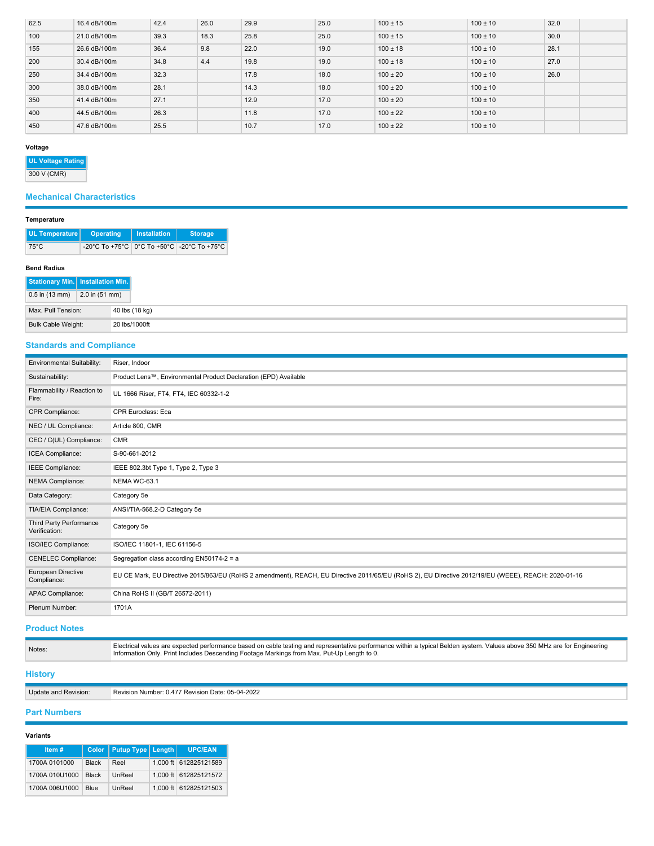| 62.5 | 16.4 dB/100m | 42.4 | 26.0 | 29.9 | 25.0 | $100 \pm 15$ | $100 \pm 10$ | 32.0 |  |
|------|--------------|------|------|------|------|--------------|--------------|------|--|
| 100  | 21.0 dB/100m | 39.3 | 18.3 | 25.8 | 25.0 | $100 \pm 15$ | $100 \pm 10$ | 30.0 |  |
| 155  | 26.6 dB/100m | 36.4 | 9.8  | 22.0 | 19.0 | $100 \pm 18$ | $100 \pm 10$ | 28.1 |  |
| 200  | 30.4 dB/100m | 34.8 | 4.4  | 19.8 | 19.0 | $100 \pm 18$ | $100 \pm 10$ | 27.0 |  |
| 250  | 34.4 dB/100m | 32.3 |      | 17.8 | 18.0 | $100 \pm 20$ | $100 \pm 10$ | 26.0 |  |
| 300  | 38.0 dB/100m | 28.1 |      | 14.3 | 18.0 | $100 \pm 20$ | $100 \pm 10$ |      |  |
| 350  | 41.4 dB/100m | 27.1 |      | 12.9 | 17.0 | $100 \pm 20$ | $100 \pm 10$ |      |  |
| 400  | 44.5 dB/100m | 26.3 |      | 11.8 | 17.0 | $100 \pm 22$ | $100 \pm 10$ |      |  |
| 450  | 47.6 dB/100m | 25.5 |      | 10.7 | 17.0 | $100 \pm 22$ | $100 \pm 10$ |      |  |

### **Voltage**

**UL Voltage Rating**

300 V (CMR)

# **Mechanical Characteristics**

#### **Temperature**

| UL Temperature   Operating | <b>Installation</b> | <b>Storage</b>                                 |
|----------------------------|---------------------|------------------------------------------------|
| $75^{\circ}$ C             |                     | -20°C To +75°C   0°C To +50°C   -20°C To +75°C |

#### **Bend Radius**

| Stationary Min.   Installation Min. |                  |                |
|-------------------------------------|------------------|----------------|
| $0.5$ in (13 mm)                    | $2.0$ in (51 mm) |                |
| Max. Pull Tension:                  |                  | 40 lbs (18 kg) |
| Bulk Cable Weight:                  |                  | 20 lbs/1000ft  |

# **Standards and Compliance**

| Environmental Suitability:               | Riser, Indoor                                                                                                                                       |
|------------------------------------------|-----------------------------------------------------------------------------------------------------------------------------------------------------|
| Sustainability:                          | Product Lens™, Environmental Product Declaration (EPD) Available                                                                                    |
| Flammability / Reaction to<br>Fire:      | UL 1666 Riser, FT4, FT4, IEC 60332-1-2                                                                                                              |
| CPR Compliance:                          | <b>CPR Euroclass: Eca</b>                                                                                                                           |
| NEC / UL Compliance:                     | Article 800, CMR                                                                                                                                    |
| CEC / C(UL) Compliance:                  | <b>CMR</b>                                                                                                                                          |
| ICEA Compliance:                         | S-90-661-2012                                                                                                                                       |
| IEEE Compliance:                         | IEEE 802.3bt Type 1, Type 2, Type 3                                                                                                                 |
| NEMA Compliance:                         | NEMA WC-63.1                                                                                                                                        |
| Data Category:                           | Category 5e                                                                                                                                         |
| TIA/EIA Compliance:                      | ANSI/TIA-568.2-D Category 5e                                                                                                                        |
| Third Party Performance<br>Verification: | Category 5e                                                                                                                                         |
| ISO/IEC Compliance:                      | ISO/IEC 11801-1, IEC 61156-5                                                                                                                        |
| <b>CENELEC Compliance:</b>               | Segregation class according EN50174-2 = a                                                                                                           |
| European Directive<br>Compliance:        | EU CE Mark, EU Directive 2015/863/EU (RoHS 2 amendment), REACH, EU Directive 2011/65/EU (RoHS 2), EU Directive 2012/19/EU (WEEE), REACH: 2020-01-16 |
| APAC Compliance:                         | China RoHS II (GB/T 26572-2011)                                                                                                                     |
| Plenum Number:                           | 1701A                                                                                                                                               |

## **Product Notes**

| Notes:         | Electrical values are expected performance based on cable testing and representative performance within a typical Belden system. Values above 350 MHz are for Engineering<br>Information Only. Print Includes Descending Footage Markings from Max. Put-Up Length to 0. |
|----------------|-------------------------------------------------------------------------------------------------------------------------------------------------------------------------------------------------------------------------------------------------------------------------|
| <b>History</b> |                                                                                                                                                                                                                                                                         |

Update and Revision: Revision Number: 0.477 Revision Date: 05-04-2022

## **Part Numbers**

## **Variants**

| Item#          |              | Color   Putup Type   Length | <b>UPC/EAN</b>        |
|----------------|--------------|-----------------------------|-----------------------|
| 1700A 0101000  | <b>Black</b> | Reel                        | 1.000 ft 612825121589 |
| 1700A 010U1000 | <b>Black</b> | UnReel                      | 1.000 ft 612825121572 |
| 1700A 006U1000 | <b>Blue</b>  | UnReel                      | 1.000 ft 612825121503 |